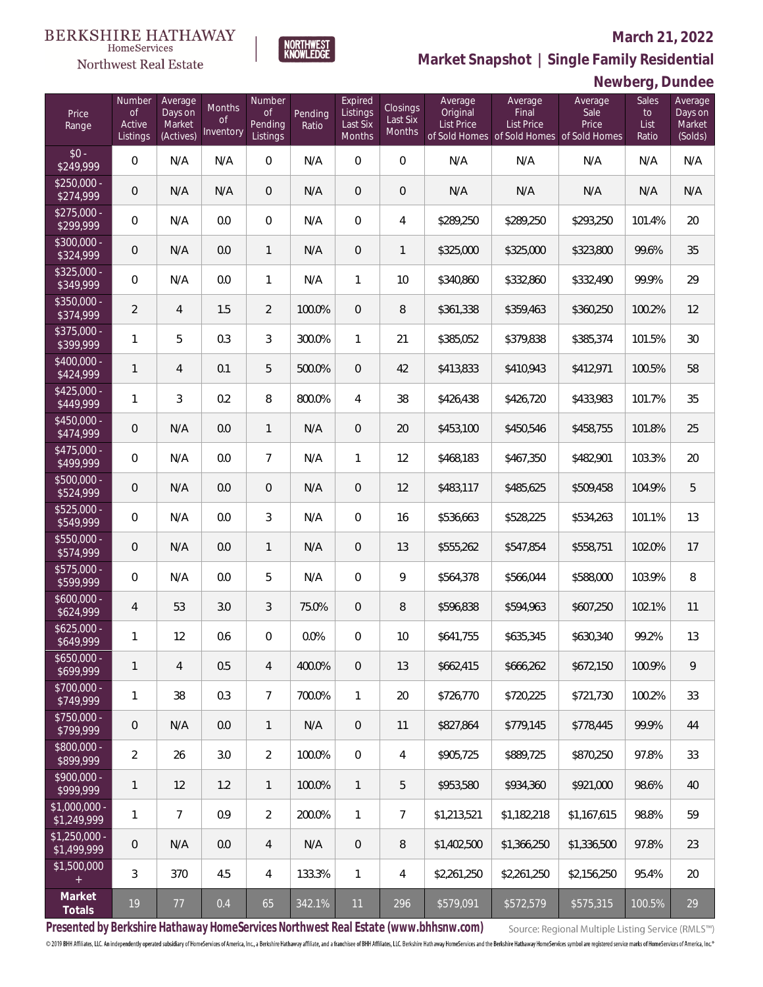#### **March 21, 2022**

**Newberg, Dundee**



**Market Snapshot | Single Family Residential**

# $\begin{array}{ll} \textrm{BERKSHIRE HATHAWAY} \\ \hspace*{2.5cm} \end{array}$

Northwest Real Estate

| Price<br>Range                | Number<br><b>of</b><br>Active<br>Listings | Average<br>Days on<br>Market<br>(Actives) | Months<br>0f<br>Inventory | Number<br><b>of</b><br>Pending<br>Listings | Pending<br>Ratio | Expired<br>Listings<br>Last Six<br>Months | Closings<br>Last Six<br>Months | Average<br>Original<br><b>List Price</b> | Average<br>Final<br><b>List Price</b><br>of Sold Homes of Sold Homes of Sold Homes | Average<br>Sale<br>Price | Sales<br>to<br>List<br>Ratio | Average<br>Days on<br>Market<br>(Solds) |
|-------------------------------|-------------------------------------------|-------------------------------------------|---------------------------|--------------------------------------------|------------------|-------------------------------------------|--------------------------------|------------------------------------------|------------------------------------------------------------------------------------|--------------------------|------------------------------|-----------------------------------------|
| $$0 -$<br>\$249,999           | $\mathsf{O}\xspace$                       | N/A                                       | N/A                       | 0                                          | N/A              | $\boldsymbol{0}$                          | $\mathbf 0$                    | N/A                                      | N/A                                                                                | N/A                      | N/A                          | N/A                                     |
| $$250,000 -$<br>\$274,999     | 0                                         | N/A                                       | N/A                       | $\mathbf 0$                                | N/A              | $\overline{0}$                            | $\mathbf 0$                    | N/A                                      | N/A                                                                                | N/A                      | N/A                          | N/A                                     |
| $$275,000 -$<br>\$299,999     | 0                                         | N/A                                       | 0.0                       | $\overline{0}$                             | N/A              | $\overline{0}$                            | 4                              | \$289,250                                | \$289,250                                                                          | \$293,250                | 101.4%                       | 20                                      |
| $$300,000 -$<br>\$324,999     | 0                                         | N/A                                       | 0.0                       | $\mathbf{1}$                               | N/A              | $\overline{0}$                            | 1                              | \$325,000                                | \$325,000                                                                          | \$323,800                | 99.6%                        | 35                                      |
| $$325,000 -$<br>\$349,999     | 0                                         | N/A                                       | 0.0                       | $\mathbf{1}$                               | N/A              | $\mathbf{1}$                              | 10                             | \$340,860                                | \$332,860                                                                          | \$332,490                | 99.9%                        | 29                                      |
| $$350,000 -$<br>\$374,999     | $\overline{2}$                            | $\overline{4}$                            | 1.5                       | $\overline{2}$                             | 100.0%           | $\overline{0}$                            | 8                              | \$361,338                                | \$359,463                                                                          | \$360,250                | 100.2%                       | 12                                      |
| $$375.000 -$<br>\$399,999     | 1                                         | 5                                         | 0.3                       | 3                                          | 300.0%           | 1                                         | 21                             | \$385,052                                | \$379,838                                                                          | \$385,374                | 101.5%                       | 30                                      |
| $$400.000 -$<br>\$424,999     | 1                                         | $\overline{4}$                            | 0.1                       | 5                                          | 500.0%           | $\overline{0}$                            | 42                             | \$413,833                                | \$410,943                                                                          | \$412,971                | 100.5%                       | 58                                      |
| $$425.000 -$<br>\$449,999     | 1                                         | 3                                         | 0.2                       | 8                                          | 800.0%           | $\overline{4}$                            | 38                             | \$426,438                                | \$426,720                                                                          | \$433,983                | 101.7%                       | 35                                      |
| $$450.000 -$<br>\$474,999     | 0                                         | N/A                                       | 0.0                       | $\mathbf{1}$                               | N/A              | $\boldsymbol{0}$                          | 20                             | \$453,100                                | \$450,546                                                                          | \$458,755                | 101.8%                       | 25                                      |
| $$475.000 -$<br>\$499,999     | 0                                         | N/A                                       | 0.0                       | $\overline{7}$                             | N/A              | 1                                         | 12                             | \$468,183                                | \$467,350                                                                          | \$482,901                | 103.3%                       | 20                                      |
| $$500,000 -$<br>\$524,999     | 0                                         | N/A                                       | 0.0                       | $\overline{0}$                             | N/A              | $\overline{0}$                            | 12                             | \$483,117                                | \$485,625                                                                          | \$509,458                | 104.9%                       | 5                                       |
| $$525,000 -$<br>\$549,999     | 0                                         | N/A                                       | 0.0                       | 3                                          | N/A              | $\overline{0}$                            | 16                             | \$536,663                                | \$528,225                                                                          | \$534,263                | 101.1%                       | 13                                      |
| $$550,000 -$<br>\$574,999     | 0                                         | N/A                                       | 0.0                       | $\mathbf{1}$                               | N/A              | $\boldsymbol{0}$                          | 13                             | \$555,262                                | \$547,854                                                                          | \$558,751                | 102.0%                       | 17                                      |
| \$575,000 -<br>\$599,999      | 0                                         | N/A                                       | 0.0                       | 5                                          | N/A              | $\overline{0}$                            | 9                              | \$564,378                                | \$566,044                                                                          | \$588,000                | 103.9%                       | 8                                       |
| $$600,000 -$<br>\$624,999     | $\overline{4}$                            | 53                                        | 3.0                       | 3                                          | 75.0%            | $\overline{0}$                            | 8                              | \$596,838                                | \$594,963                                                                          | \$607,250                | 102.1%                       | 11                                      |
| $$625,000 -$<br>\$649,999     | 1                                         | 12                                        | 0.6                       | $\overline{0}$                             | 0.0%             | $\overline{0}$                            | 10                             | \$641,755                                | \$635,345                                                                          | \$630,340                | 99.2%                        | 13                                      |
| \$650,000 -<br>\$699,999      | 1                                         | $\overline{4}$                            | 0.5                       | $\overline{4}$                             | 400.0%           | $\overline{0}$                            | 13                             | \$662,415                                | \$666,262                                                                          | \$672,150                | 100.9%                       | 9                                       |
| $$700,000 -$<br>\$749,999     | 1                                         | 38                                        | 0.3                       | $\overline{7}$                             | 700.0%           | $\mathbf{1}$                              | 20                             | \$726,770                                | \$720,225                                                                          | \$721,730                | 100.2%                       | 33                                      |
| $$750,000 -$<br>\$799,999     | 0                                         | N/A                                       | 0.0                       | $\mathbf{1}$                               | N/A              | $\mathbf 0$                               | 11                             | \$827,864                                | \$779,145                                                                          | \$778,445                | 99.9%                        | 44                                      |
| $$800,000 -$<br>\$899,999     | $\overline{2}$                            | 26                                        | 3.0                       | $\overline{2}$                             | 100.0%           | $\overline{0}$                            | 4                              | \$905,725                                | \$889,725                                                                          | \$870,250                | 97.8%                        | 33                                      |
| $$900,000 -$<br>\$999,999     | 1                                         | 12                                        | 1.2                       | $\mathbf{1}$                               | 100.0%           | $\mathbf{1}$                              | 5                              | \$953,580                                | \$934,360                                                                          | \$921,000                | 98.6%                        | 40                                      |
| $$1,000,000 -$<br>\$1,249,999 | 1                                         | $\overline{7}$                            | 0.9                       | $\overline{2}$                             | 200.0%           | $\mathbf{1}$                              | 7                              | \$1,213,521                              | \$1,182,218                                                                        | \$1,167,615              | 98.8%                        | 59                                      |
| \$1,250,000 -<br>\$1,499,999  | 0                                         | N/A                                       | 0.0                       | 4                                          | N/A              | $\mathbf 0$                               | 8                              | \$1,402,500                              | \$1,366,250                                                                        | \$1,336,500              | 97.8%                        | 23                                      |
| \$1,500,000<br>$\pm$          | 3                                         | 370                                       | 4.5                       | 4                                          | 133.3%           | 1                                         | 4                              | \$2,261,250                              | \$2,261,250                                                                        | \$2,156,250              | 95.4%                        | 20                                      |
| Market<br>Totals              | $19$                                      | $77 \,$                                   | 0.4                       | 65                                         | 342.1%           | 11                                        | 296                            | \$579,091                                | \$572,579                                                                          | \$575,315                | 100.5%                       | 29                                      |

**Presented by Berkshire Hathaway HomeServices Northwest Real Estate (www.bhhsnw.com)**

Source: Regional Multiple Listing Service (RMLS™)

© 2019 BHH Affiliates, LLC. An independently operated subsidiary of HomeServices of America, Inc., a Berkshire Hathaway affiliate, and a franchise of BHH Affiliates, LLC. Berkshire Hathaway HomaServices and the Berkshire H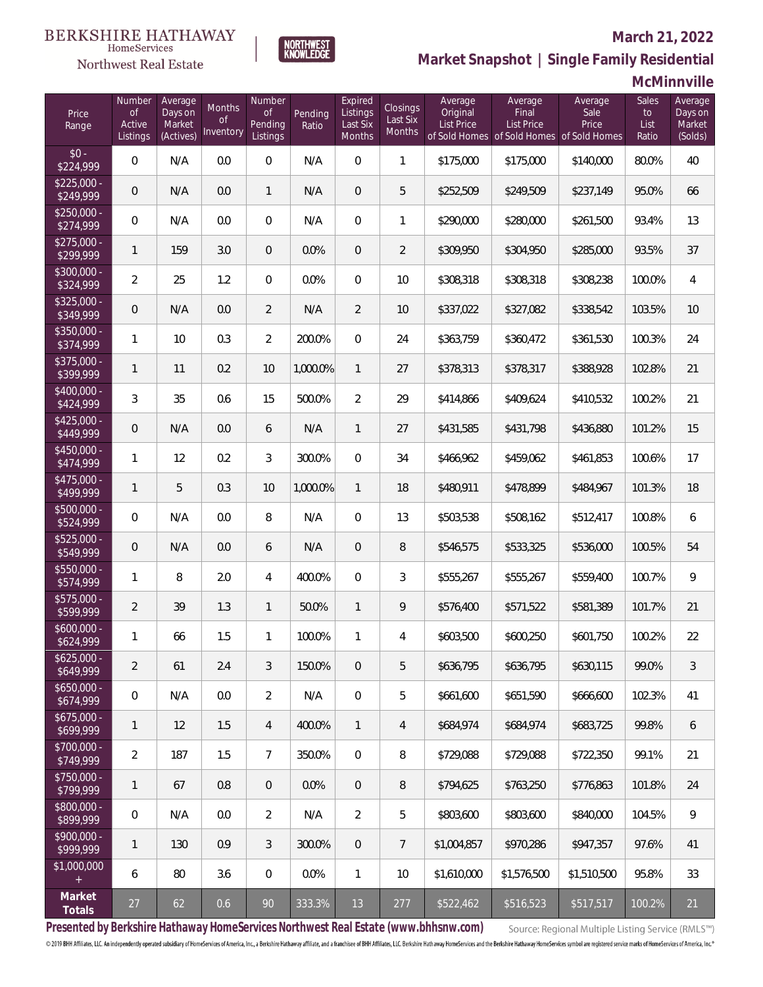## $\begin{array}{ll} \textrm{BERKSHIRE HATHAWAY} \\ \hspace*{2.5cm} \end{array}$

### Northwest Real Estate

#### **March 21, 2022**



## **Market Snapshot | Single Family Residential**

## **McMinnville**

| Price<br>Range            | Number<br><b>of</b><br>Active<br>Listings | Average<br>Days on<br>Market<br>(Actives) | Months<br><b>of</b><br>Inventory | Number<br><b>of</b><br>Pending<br>Listings | Pending<br>Ratio | Expired<br>Listings<br>Last Six<br>Months | Closings<br>Last Six<br>Months | Average<br>Original<br><b>List Price</b> | Average<br>Final<br><b>List Price</b><br>of Sold Homes of Sold Homes of Sold Homes | Average<br>Sale<br>Price | Sales<br>to<br>List<br>Ratio | Average<br>Days on<br>Market<br>(Solds) |
|---------------------------|-------------------------------------------|-------------------------------------------|----------------------------------|--------------------------------------------|------------------|-------------------------------------------|--------------------------------|------------------------------------------|------------------------------------------------------------------------------------|--------------------------|------------------------------|-----------------------------------------|
| $$0 -$<br>\$224,999       | 0                                         | N/A                                       | 0.0                              | $\overline{0}$                             | N/A              | $\overline{0}$                            | $\mathbf{1}$                   | \$175,000                                | \$175,000                                                                          | \$140,000                | 80.0%                        | 40                                      |
| $$225,000 -$<br>\$249,999 | $\overline{0}$                            | N/A                                       | 0.0                              | $\mathbf{1}$                               | N/A              | $\overline{0}$                            | 5                              | \$252,509                                | \$249,509                                                                          | \$237,149                | 95.0%                        | 66                                      |
| $$250,000 -$<br>\$274,999 | $\mathbf 0$                               | N/A                                       | 0.0                              | $\mathbf{0}$                               | N/A              | $\overline{0}$                            | 1                              | \$290,000                                | \$280,000                                                                          | \$261,500                | 93.4%                        | 13                                      |
| $$275,000 -$<br>\$299,999 | $\mathbf{1}$                              | 159                                       | 3.0                              | $\overline{0}$                             | 0.0%             | $\overline{0}$                            | $\overline{2}$                 | \$309,950                                | \$304,950                                                                          | \$285,000                | 93.5%                        | 37                                      |
| $$300,000 -$<br>\$324,999 | $\overline{2}$                            | 25                                        | 1.2                              | $\mathbf{0}$                               | 0.0%             | $\Omega$                                  | 10                             | \$308,318                                | \$308,318                                                                          | \$308,238                | 100.0%                       | $\overline{4}$                          |
| $$325,000 -$<br>\$349,999 | $\overline{0}$                            | N/A                                       | 0.0                              | $\overline{2}$                             | N/A              | $\overline{2}$                            | 10                             | \$337,022                                | \$327,082                                                                          | \$338,542                | 103.5%                       | 10                                      |
| $$350,000 -$<br>\$374,999 | $\mathbf{1}$                              | 10                                        | 0.3                              | $\overline{2}$                             | 200.0%           | $\mathbf 0$                               | 24                             | \$363,759                                | \$360,472                                                                          | \$361,530                | 100.3%                       | 24                                      |
| $$375,000 -$<br>\$399,999 | $\mathbf{1}$                              | 11                                        | 0.2                              | 10                                         | 1,000.0%         | $\mathbf{1}$                              | 27                             | \$378,313                                | \$378,317                                                                          | \$388,928                | 102.8%                       | 21                                      |
| $$400,000 -$<br>\$424,999 | 3                                         | 35                                        | 0.6                              | 15                                         | 500.0%           | $\overline{2}$                            | 29                             | \$414,866                                | \$409,624                                                                          | \$410,532                | 100.2%                       | 21                                      |
| $$425,000 -$<br>\$449,999 | $\overline{0}$                            | N/A                                       | 0.0                              | 6                                          | N/A              | 1                                         | 27                             | \$431,585                                | \$431,798                                                                          | \$436,880                | 101.2%                       | 15                                      |
| $$450,000 -$<br>\$474,999 | $\mathbf{1}$                              | 12                                        | 0.2                              | 3                                          | 300.0%           | $\Omega$                                  | 34                             | \$466,962                                | \$459,062                                                                          | \$461,853                | 100.6%                       | 17                                      |
| $$475,000 -$<br>\$499,999 | $\mathbf{1}$                              | 5                                         | 0.3                              | 10                                         | 1,000.0%         | $\mathbf{1}$                              | 18                             | \$480,911                                | \$478,899                                                                          | \$484,967                | 101.3%                       | 18                                      |
| $$500,000 -$<br>\$524,999 | 0                                         | N/A                                       | 0.0                              | 8                                          | N/A              | $\Omega$                                  | 13                             | \$503,538                                | \$508,162                                                                          | \$512,417                | 100.8%                       | 6                                       |
| $$525,000 -$<br>\$549,999 | $\overline{0}$                            | N/A                                       | 0.0                              | 6                                          | N/A              | $\overline{0}$                            | 8                              | \$546,575                                | \$533,325                                                                          | \$536,000                | 100.5%                       | 54                                      |
| \$550,000 -<br>\$574,999  | 1                                         | 8                                         | 2.0                              | $\overline{4}$                             | 400.0%           | $\Omega$                                  | 3                              | \$555,267                                | \$555,267                                                                          | \$559,400                | 100.7%                       | $\mathsf{Q}$                            |
| $$575,000 -$<br>\$599,999 | $\overline{2}$                            | 39                                        | 1.3                              | $\mathbf{1}$                               | 50.0%            | $\mathbf{1}$                              | 9                              | \$576,400                                | \$571,522                                                                          | \$581,389                | 101.7%                       | 21                                      |
| $$600,000 -$<br>\$624,999 | 1                                         | 66                                        | 1.5                              | $\mathbf{1}$                               | 100.0%           | $\mathbf{1}$                              | 4                              | \$603,500                                | \$600,250                                                                          | \$601,750                | 100.2%                       | 22                                      |
| $$625,000 -$<br>\$649,999 | $\overline{2}$                            | 61                                        | 2.4                              | 3                                          | 150.0%           | 0                                         | 5                              | \$636,795                                | \$636,795                                                                          | \$630,115                | 99.0%                        | 3                                       |
| $$650,000 -$<br>\$674,999 | 0                                         | N/A                                       | 0.0                              | $\overline{2}$                             | N/A              | $\mathbf 0$                               | 5                              | \$661,600                                | \$651,590                                                                          | \$666,600                | 102.3%                       | 41                                      |
| $$675,000 -$<br>\$699,999 | 1                                         | 12                                        | 1.5                              | 4                                          | 400.0%           | $\mathbf{1}$                              | 4                              | \$684,974                                | \$684,974                                                                          | \$683,725                | 99.8%                        | 6                                       |
| \$700,000 -<br>\$749,999  | $\overline{2}$                            | 187                                       | 1.5                              | $\overline{7}$                             | 350.0%           | $\mathbf 0$                               | 8                              | \$729,088                                | \$729,088                                                                          | \$722,350                | 99.1%                        | 21                                      |
| \$750,000 -<br>\$799,999  | 1                                         | 67                                        | $0.8\,$                          | $\mathbf{0}$                               | 0.0%             | $\overline{0}$                            | 8                              | \$794,625                                | \$763,250                                                                          | \$776,863                | 101.8%                       | 24                                      |
| \$800,000 -<br>\$899,999  | 0                                         | N/A                                       | 0.0                              | $\overline{2}$                             | N/A              | 2                                         | 5                              | \$803,600                                | \$803,600                                                                          | \$840,000                | 104.5%                       | 9                                       |
| \$900,000 -<br>\$999,999  | 1                                         | 130                                       | 0.9                              | 3                                          | 300.0%           | $\overline{0}$                            | 7                              | \$1,004,857                              | \$970,286                                                                          | \$947,357                | 97.6%                        | 41                                      |
| \$1,000,000<br>$+$        | 6                                         | 80                                        | 3.6                              | $\mathbf{0}$                               | 0.0%             | $\mathbf{1}$                              | 10                             | \$1,610,000                              | \$1,576,500                                                                        | \$1,510,500              | 95.8%                        | 33                                      |
| Market<br>Totals          | 27                                        | 62                                        | 0.6                              | 90                                         | 333.3%           | 13                                        | 277                            | \$522,462                                | \$516,523                                                                          | \$517,517                | 100.2%                       | 21                                      |

**Presented by Berkshire Hathaway HomeServices Northwest Real Estate (www.bhhsnw.com)**

Source: Regional Multiple Listing Service (RMLS™)

© 2019 BHH Affiliates, LLC. An independently operated subsidiary of HomeServices of America, Inc., a Berkshire Hathaway affiliate, and a franchisee of BHH Affiliates, LLC. Berkshire Hathaway HomeServices and the Berkshire